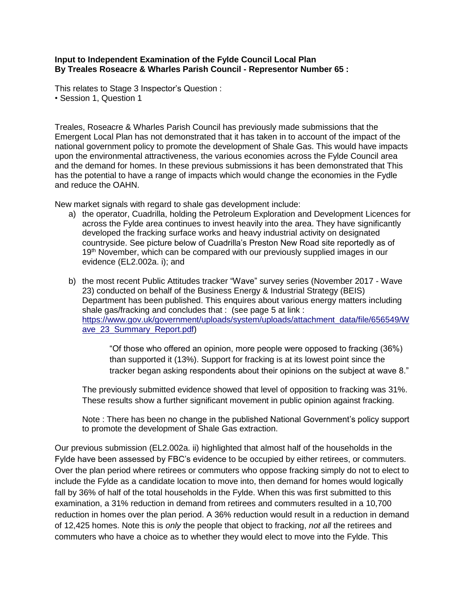## **Input to Independent Examination of the Fylde Council Local Plan By Treales Roseacre & Wharles Parish Council - Representor Number 65 :**

This relates to Stage 3 Inspector's Question : • Session 1, Question 1

Treales, Roseacre & Wharles Parish Council has previously made submissions that the Emergent Local Plan has not demonstrated that it has taken in to account of the impact of the national government policy to promote the development of Shale Gas. This would have impacts upon the environmental attractiveness, the various economies across the Fylde Council area and the demand for homes. In these previous submissions it has been demonstrated that This has the potential to have a range of impacts which would change the economies in the Fydle and reduce the OAHN.

New market signals with regard to shale gas development include:

- a) the operator, Cuadrilla, holding the Petroleum Exploration and Development Licences for across the Fylde area continues to invest heavily into the area. They have significantly developed the fracking surface works and heavy industrial activity on designated countryside. See picture below of Cuadrilla's Preston New Road site reportedly as of 19<sup>th</sup> November, which can be compared with our previously supplied images in our evidence (EL2.002a. i); and
- b) the most recent Public Attitudes tracker "Wave" survey series (November 2017 Wave 23) conducted on behalf of the Business Energy & Industrial Strategy (BEIS) Department has been published. This enquires about various energy matters including shale gas/fracking and concludes that : (see page 5 at link : [https://www.gov.uk/government/uploads/system/uploads/attachment\\_data/file/656549/W](https://www.gov.uk/government/uploads/system/uploads/attachment_data/file/656549/Wave_23_Summary_Report.pdf) [ave\\_23\\_Summary\\_Report.pdf\)](https://www.gov.uk/government/uploads/system/uploads/attachment_data/file/656549/Wave_23_Summary_Report.pdf)

"Of those who offered an opinion, more people were opposed to fracking (36%) than supported it (13%). Support for fracking is at its lowest point since the tracker began asking respondents about their opinions on the subject at wave 8."

The previously submitted evidence showed that level of opposition to fracking was 31%. These results show a further significant movement in public opinion against fracking.

Note : There has been no change in the published National Government's policy support to promote the development of Shale Gas extraction.

Our previous submission (EL2.002a. ii) highlighted that almost half of the households in the Fylde have been assessed by FBC's evidence to be occupied by either retirees, or commuters. Over the plan period where retirees or commuters who oppose fracking simply do not to elect to include the Fylde as a candidate location to move into, then demand for homes would logically fall by 36% of half of the total households in the Fylde. When this was first submitted to this examination, a 31% reduction in demand from retirees and commuters resulted in a 10,700 reduction in homes over the plan period. A 36% reduction would result in a reduction in demand of 12,425 homes. Note this is *only* the people that object to fracking, *not all* the retirees and commuters who have a choice as to whether they would elect to move into the Fylde. This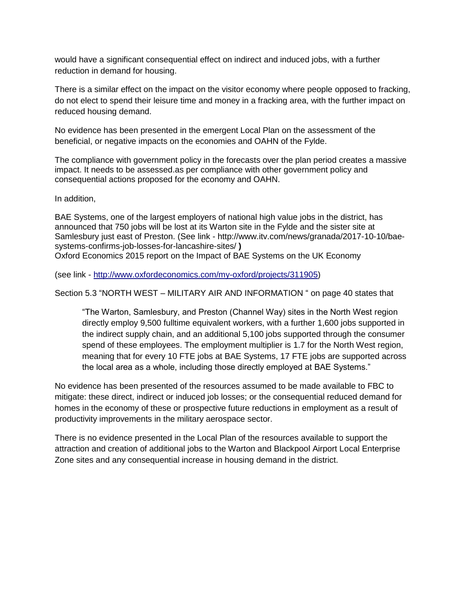would have a significant consequential effect on indirect and induced jobs, with a further reduction in demand for housing.

There is a similar effect on the impact on the visitor economy where people opposed to fracking, do not elect to spend their leisure time and money in a fracking area, with the further impact on reduced housing demand.

No evidence has been presented in the emergent Local Plan on the assessment of the beneficial, or negative impacts on the economies and OAHN of the Fylde.

The compliance with government policy in the forecasts over the plan period creates a massive impact. It needs to be assessed.as per compliance with other government policy and consequential actions proposed for the economy and OAHN.

In addition,

BAE Systems, one of the largest employers of national high value jobs in the district, has announced that 750 jobs will be lost at its Warton site in the Fylde and the sister site at Samlesbury just east of Preston. (See link - http://www.itv.com/news/granada/2017-10-10/baesystems-confirms-job-losses-for-lancashire-sites/ **)** Oxford Economics 2015 report on the Impact of BAE Systems on the UK Economy

(see link - [http://www.oxfordeconomics.com/my-oxford/projects/311905\)](http://www.oxfordeconomics.com/my-oxford/projects/311905)

Section 5.3 "NORTH WEST – MILITARY AIR AND INFORMATION " on page 40 states that

"The Warton, Samlesbury, and Preston (Channel Way) sites in the North West region directly employ 9,500 fulltime equivalent workers, with a further 1,600 jobs supported in the indirect supply chain, and an additional 5,100 jobs supported through the consumer spend of these employees. The employment multiplier is 1.7 for the North West region, meaning that for every 10 FTE jobs at BAE Systems, 17 FTE jobs are supported across the local area as a whole, including those directly employed at BAE Systems."

No evidence has been presented of the resources assumed to be made available to FBC to mitigate: these direct, indirect or induced job losses; or the consequential reduced demand for homes in the economy of these or prospective future reductions in employment as a result of productivity improvements in the military aerospace sector.

There is no evidence presented in the Local Plan of the resources available to support the attraction and creation of additional jobs to the Warton and Blackpool Airport Local Enterprise Zone sites and any consequential increase in housing demand in the district.